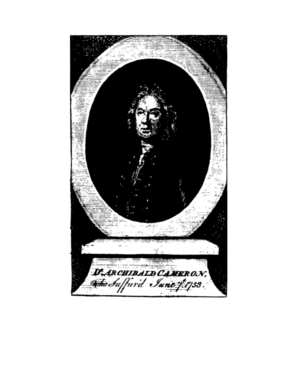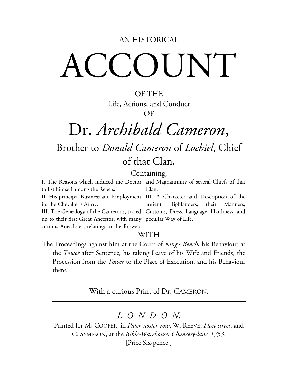#### AN HISTORICAL

# ACCOUNT

OF THE Life, Actions, and Conduct OF

### Dr. *Archibald Cameron*, Brother to *Donald Cameron* of *Lochiel*, Chief of that Clan.

#### Containing,

I. The Reasons which induced the Doctor and Magnanimity of several Chiefs of that to list himself among the Rebels. Clan.

II. His principal Business and Employment III. A Character and Description of the in. the Chevalier's Army. III. The Genealogy of the Camerons, traced Customs, Dress, Language, Hardiness, and up to their first Great Ancestor; with many peculiar Way of Life. curious Anecdotes, relating; to the Prowess antient Highlanders, their Manners,

#### WITH

The Proceedings against him at the Court of *King's Bench*, his Behaviour at the *Tower* after Sentence, his taking Leave of his Wife and Friends, the Procession from the *Tower* to the Place of Execution, and his Behaviour there.

With a curious Print of Dr. CAMERON.

### *LONDO N:*

Printed for M, COOPER, in *Pater-noster-row*, W. REEVE, *Fleet-street*, and C. SYMPSON, at the *Bible-Warehouse*, *Chancery-lane. 1753.* [Price Six-pence.]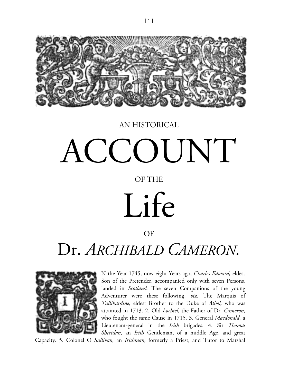

#### AN HISTORICAL

## ACCOUNT

#### OF THE

# Life

#### OF

### Dr. *ARCHIBALD CAMERON.*



N the Year 1745, now eight Years ago, *Charles Edward,* eldest Son of the Pretender, accompanied only with seven Persons, landed in *Scotland.* The seven Companions of the young Adventurer were these following, *viz.* The Marquis of *Tullibardine,* eldest Brother to the Duke of *Athol,* who was attainted in 1713. 2. Old *Lochiel,* the Father of Dr. *Cameron,*  who fought the same Cause in 1715. 3. General *Macdonald,* a Lieutenant-general in the *Irish* brigades. 4. Sir *Thomas Sheridan,* an *Irish* Gentleman, of a middle Age, and great

Capacity. 5. Colonel O *Sullivan,* an *Irishman,* formerly a Priest, and Tutor to Marshal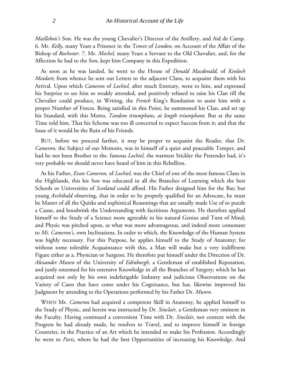*Maillebois's* Son. He was the young Chevalier's Director of the Artillery, and Aid de Camp. 6. Mr. *Kelly,* many Years a Prisoner in the Tower of *London,* on Account of the Affair of the Bishop of *Rochester.* 7. Mr. *Mechel,* many Years a Servant to the Old Chevalier, and, for the Affection he had to the Son, kept him Company in this Expedition.

As soon as he was landed, he went to the House of *Donald Macdonald,* of *Kenloch Moidart*; from whence he sent out Letters to the adjacent Clans, to acquaint them with his Arrival. Upon which *Cameron* of *Lochiel,* after much Entreaty, went to him, and expressed his Surprize to see him so weakly attended, and positively refused to raise his Clan till the Chevalier could produce, in Writing, the *French* King's Resolution to assist him with a proper Number of Forces. Being satisfied in this Point, he summoned his Clan, and set up his Standard, with this Motto, *Tandem triumphans, at length triumphant.* But at the same Time told him, That his Scheme was too ill concerted to expect Success from it; and that the Issue of it would be the Ruin of his Friends.

BUT, before we proceed farther, it may be proper to acquaint the Reader, that Dr. *Cameron,* the Subject of our Memoirs, was in himself of a quiet and peaceable Temper, and had he not been Brother to the. famous *Lochiel,* the warmest Stickler the Pretender had, it's very probable we should never have heard of him in this Rebellion.

As his Father, *Evan Cameron,* of *Lochiel,* was the Chief of one of the most famous Clans in the Highlands, this his Son was educated in all the Branches of Learning which the best Schools or Universities of *Scotland* could afford. His Father designed him for the Bar; but young *Archibald* observing, that in order to be properly qualified for an Advocate, he must be Master of all the Quirks and sophistical Reasonings that are usually made Use of to puzzle a Cause, and hoodwink the Understanding with factitious Arguments. He therefore applied himself to the Study of a Science more agreeable to his natural Genius and Turn of Mind; and Physic was pitched upon, as what was more advantageous, and indeed more consonant to *Mi. Cameron's,* own Inclinations. In order to which, the Knowledge of the Human System was highly necessary. For this Purpose, he applies himself to the Study of Anatomy; for without tome tolerable Acquaintance with this, a Man will make but a very indifferent Figure either as a. Physician or Surgeon. He therefore put himself under the Direction of Dr. *Alexander Munro* of the University of *Edinburgh,* a Gentleman of established Reputation, and justly esteemed for his extensive Knowledge in all the Branches of Surgery; which he has acquired not only by his own indefatigable Industry and judicious Observations on the Variety of Cases that have come under his Cognizance, but has. likewise improved his Judgment by attending to the Operations performed by his Father Dr. *Munro.*

WHEN Mr. *Cameron* had acquired a competent Skill in Anatomy, he applied himself to the Study of Physic, and herein was instructed by Dr. *Sinclair,* a Gentleman very eminent in the Faculty. Having continued a convenient Time with Dr. *Sinclair,* not content with the Progress he had already made, he resolves to Travel, and to improve himself in foreign Countries, in the Practice of an Art which he intended to make his Profession. Accordingly he went to *Paris,* where he had the best Opportunities of increasing his Knowledge. And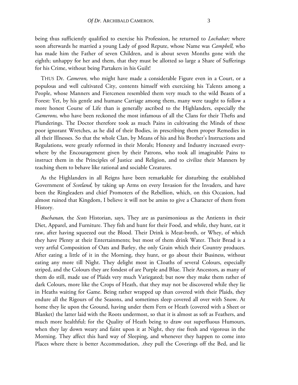being thus sufficiently qualified to exercise his Profession, he returned to *Lochabar;* where soon afterwards he married a young Lady of good Repute, whose Name was *Campbell,* who has made him the Father of seven Children, and is about seven Months gone with the eighth; unhappy for her and them, that they must be allotted so large a Share of Sufferings for his Crime, without being Partakers in his Guilt!

THUS Dr. *Cameron,* who might have made a considerable Figure even in a Court, or a populous and well cultivated City, contents himself with exercising his Talents among a People, whose Manners and Fierceness resembled them very much to the wild Beasts of a Forest: Yet, by his gentle and humane Carriage among them, many were taught to follow a more honest Course of Life than is generally ascribed to the Highlanders, especially the *Camerons,* who have been reckoned the most infamous of all the Clans for their Thefts and Plunderings. The Doctor therefore took as much Pains in cultivating the Minds of these poor ignorant Wretches, as he did of their Bodies, in prescribing them proper Remedies in all their Illnesses. So that the whole Clan, by Means of his and his Brother's Instructions and Regulations, were greatly reformed in their Morals; Honesty and Industry increased everywhere by the Encouragement given by their Patrons, who took all imaginable Pains to instruct them in the Principles of Justice and Religion, and to civilize their Manners by teaching them to behave like rational and sociable Creatures.

As the Highlanders in all Reigns have been remarkable for disturbing the established Government of *Scotland,* by taking up Arms on every Invasion for the Invaders, and have been the Ringleaders and chief Promoters of the Rebellion, which, on this Occasion, had almost ruined that Kingdom, I believe it will not be amiss to give a Character of them from History.

*Buchanan,* the *Scots* Historian, says, They are as parsimonious as the Antients in their Diet, Apparel, and Furniture. They fish and hunt for their Food, and while, they hunt, eat it raw, after having squeezed out the Blood. Their Drink is Meat-broth, or Whey, of which they have Plenty at their Entertainments; but most of them drink Water. Their Bread is a very artful Composition of Oats and Barley, the only Grain which their Country produces. After eating a little of it in the Morning, they hunt, or go about their Business, without eating any more till Night. They delight most in CIoaths of several Colours, especially striped, and the Colours they are fondest of are Purple and Blue. Their Ancestors, as many of them do still, made use of Plaids very much Variegated; but now they make them rather of dark Colours, more like the Crops of Heath, that they may not be discovered while they lie in Heaths waiting for Game. Being rather wrapped up than covered with their Plaids, they endure all the Rigours of the Seasons, and sometimes sleep covered all over with Snow. At home they lie upon the Ground, having under them Fern or Heath (covered with a Sheet or Blanket) the latter laid with the Roots undermost, so that it is almost as soft as Feathers, and much more healthful; for the Quality of Heath being to draw out superfluous Humours, when they lay down weary and faint upon it at Night, they rise fresh and vigorous in the Morning. They affect this hard way of Sleeping, and whenever they happen to come into Places where there is better Accommodation, .they pull the Coverings off the Bed, and lie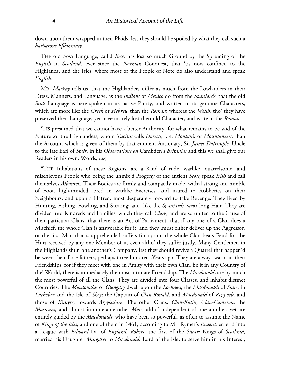down upon them wrapped in their Plaids, lest they should be spoiled by what they call such a *barbarous Effeminacy.*

THE old *Scots* Language, call'd *Erse,* has lost so much Ground by the Spreading of the *English* in *Scotland,* ever since the *Norman* Conquest, that 'tis now confined to the Highlands, and the Isles, where most of the People of Note do also understand and speak *English.*

MR. *Mackay* tells us, that the Highlanders differ as much from the Lowlanders in their Dress, Manners, and Language, as the *Indians* of *Mexico* do from the *Spaniards*; that the old *Scots* Language is here spoken in its native Purity, and written in its genuine Characters, which are more like the *Greek* or *Hebrew* than the *Roman*; whereas the *Welsh,* tho' they have preserved their Language, yet have intirely lost their old Character, and write in the *Roman.*

'TIS presumed that we cannot have a better Authority, for what remains to be said of the Nature .of the Highlanders, whom *Tacitus* calls *Horesti,* i. e. *Montani,* or *Mountaneers,* than the Account which is given of them by that eminent Antiquary, Sir *James Dalrimple,* Uncle to the late Earl of *Stair,* in his *Observations on* Cambden's *Britania;* and this we shall give our Readers in his own. Words, *viz,*

"THE Inhabitants of these Regions, are a Kind of rude, warlike, quarrelsome, and mischievous People who being the unmix'd Progeny of the antient *Scots,* speak *Irish* and call themselves *Albanick.* Their Bodies are firmly and compactly made, withal strong and nimble of Foot, high-minded, bred in warlike Exercises, and inured to Robberies on their Neighbours; and upon a Hatred, most desperately forward to take Revenge. They lived by Hunting, Fishing, Fowling, and Stealing; and, like the *Spaniards,* wear long Hair. They are divided into Kindreds and Families, which they call *Clans,* and are so united to the Cause of their particular Clans, that there is an Act of Parliament, that if any one of a Clan does a Mischief, the whole Clan is answerable for it; and they .must either deliver up the Aggressor, or the first Man that is apprehended suffers for it; and the whole Clan bears Feud for the Hurt received by any one Member of it, even altho' they suffer justly. Many Gentlemen in the Highlands shun one another's Company, lest they should revive a Quarrel that happen'd between their Fore-fathers, perhaps three hundred .Years ago. They are always warm in their Friendships; for if they meet with one in Amity with their own Clan, be it in any Country of the' World, there is immediately the most intimate Friendship. The *Macdonalds* are by much the most powerful of all the Clans: They are divided into four Classes, and inhabit distinct Countries. The *Macdonalds* of *Glengary* dwell upon the *Lockness;* the *Macdonalds* of *Slate*, in *Lacheber* and the Isle of *Skey;* the Captain of *Clan-Ronald,* and *Macdonald* of *Keppocb,* and those of *Kintyre,* towards *Argyleshire.* The other Clans, *Clan-Katin, Clan-Cameron,* the *Macleans,* and almost innumerable other *Macs,* altho' independent of one another, yet are entirely guided by the *Macdonalds,* who have been so powerful, as often to assume the Name of *Kings of the Isles*; and one of them in 1461, according to Mr. Rymer's *Fædera,* enter'd into a League with *Edward* IV, of *England. Robert,* the first of the *Stuart* Kings of *Scotland,*  married his Daughter *Margaret* to *Macdonald,* Lord of the Isle, to serve him in his Interest;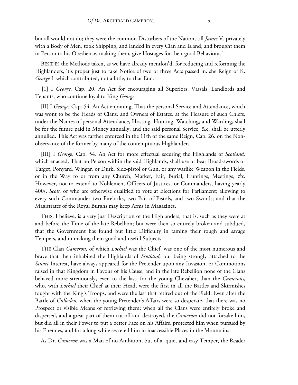but all would not do; they were the common Disturbers of the Nation, till *James* V. privately with a Body of Men, took Shipping, and landed in every Clan and Island, and brought them in Person to his Obedience, making them, give Hostages for their good Behaviour.'

BESIDES the Methods taken, as we have already mentlon'd, for reducing and reforming the Highlanders, 'tis proper just to take Notice of two or three Acts passed in. she Reign of K. *George* I. which contributed, not a little, to that End.

[1] I *George,* Cap. 20. An Act for encouraging all Superiors, Vassals, Landlords and Tenants, who continue loyal to King *George.*

[II] I *George,* Cap. 54. An Act enjoining, That the personal Service and Attendance, which was wont to be the Heads of Clans, and Owners of Estates, at the Pleasure of such Chiefs, under the Names of personal Attendance, Hosting, Hunting, Watching, and Warding, shall be for the future paid in Money annually; and the said personal Service, &c. shall be utterly annulled. This Act was farther enforced in the 11th of the same Reign, Cap. 26. on the Nonobservance of the former by many of the contemptuous Highlanders.

[IIIJ I *George,* Cap. 54. An Act for more effectual securing the Highlands of *Scot/and,*  which enacted, That no Person within the said Highlands, shall use or bear Broad-swords or Target, Ponyard, Wingar, or Durk, Side-pistol or Gun, or any warlike Weapon in the Fields, or in the Way to or from any Church, Market, Fair, Burial, Huntings, Meetings, *&c.*  However, not to extend to Noblemen, Officers of Justices, or Commanders, having yearly 400/. *Scots,* or who are otherwise qualified to vote at Elections for Parliament; allowing to every such Commander two Firelocks, two Pair of Pistols, and two Swords; and that the Magistrates of the Royal Burghs may keep Arms in Magazines.

THIS, I believe, is a very just Description of the Highlanders, that is, such as they were at and before the Time of the late Rebellion; but were then so entirely broken and subdued, that the Government has found but little Difficulty in taming their rough and savage Tempers, and in making them good and useful Subjects.

THE Clan *Cameron,* of which *Lochiel* was the Chief, was one of the most numerous and brave that then inhabited the Highlands of *Scotland*; but being strongly attached to the *Stuart* Interest, have always appeared for the Pretender upon any Invasion, or Commotions raised in that Kingdom in Favour of his Cause; and in the late Rebellion none of the Clans behaved more strenuously, even to the last, for the young Chevalier, than the *Camerons,*  who, with *Lochiel* their Chief at their Head, were the first in all the Battles and Skirmishes fought with the King's Troops, and were the last that retired out of the Field. Even after the Battle of *Culloden,* when the young Pretender's Affairs were so desperate, that there was no Prospect or visible Means of retrieving them; when all the Clans were entirely broke and dispersed, and a great part of them cut off and destroyed, the *Camerons* did not forsake him, but did all in their Power to put a better Face on his Affairs, protected him when pursued by his Enemies, and for a long while secreted him in inaccessible Places in the Mountains.

As Dr. *Cameron* was a Man of no Ambition, but of a. quiet and easy Temper, the Reader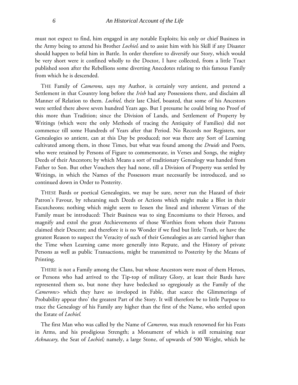must not expect to find, him engaged in any notable Exploits; his only or chief Business in the Army being to attend his Brother *Lochiel*, and to assist him with his Skill if any Disaster should happen to befal him in Battle. In order therefore to diversify our Story, which would be very short were it confined wholly to the Doctor, I have collected, from a little Tract published soon after the Rebellions some diverting Anecdotes relating to this famous Family from which he is descended.

THE Family of *Camerons,* says my Author, is certainly very antient, and pretend a Settlement in that Country long before the *Irish* had any Possessions there, and disclaim all Manner of Relation to them. *Lochiel,* their late Chief, boasted, that some of his Ancestors were settled there above seven hundred Years ago. But I presume he could bring no Proof of this more than Tradition; since the Division of Lands, and Settlement of Property by Writings (which were the only Methods of tracing the Antiquity of Families) did not commence till some Hundreds of Years after that Period. No Records nor Registers, nor Genealogies so antient, can at this Day be produced; nor was there any Sort of Learning cultivated among them, in those Times, but what was found among the *Druids* and Poets, who were retained by Persons of Figure to commemorate, in Verses and Songs, the mighty Deeds of their Ancestors; by which Means a sort of traditionary Genealogy was handed from Father to Son. But other Vouchers they had none, till a Division of Property was settled by Writings, in which the Names of the Possessors must necessarily be introduced, and so continued down in Order to Posterity.

THESE Bards or poetical Genealogists, we may be sure, never run the Hazard of their Patron's Favour, by rehearsing such Deeds or Actions which might make a Blot in their Escutcheons; nothing which might seem to Iessen the lineal and inherent Virtues of the Family must be introduced: Their Business was to sing Encomiums to their Heroes, and magnify and extol the great Atchievements of those Worthies from whom their Patrons claimed their Descent; and therefore it is no Wonder if we find but little Truth, or have the greatest Reason to suspect the Veracity of such of their Genealogies as are carried higher than the Time when Learning came more generally into Repute, and the History of private Persons as well as public Transactions, might be transmitted to Posterity by the Means of Printing.

THERE is not a Family among the Clans, but whose Ancestors were most of them Heroes, or Persons who had arrived to the Tip-top of military Glory, at least their Bards have represented them so, but none they have bedecked so egregiously as the Family of the *Camerons>* which they have so inveloped in Fable, that scarce the Glimmerings of Probability appear thro' the greatest Part of the Story. It will therefore be to little Purpose to trace the Genealogy of his Family any higher than the first of the Name, who settled upon the Estate of *Lochiel.*

The first Man who was called by the Name of *Cameron,* was much renowned for his Feats in Arms, and his prodigious Strength; a Monument of which is still remaining near *Acknacary,* the Seat of *Lochiel;* namely, a large Stone, of upwards of 500 Weight, which he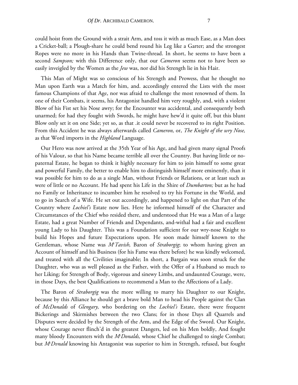could hoist from the Ground with a strait Arm, and toss it with as much Ease, as a Man does a Cricket-ball; a Plough-share he could bend round his Leg like a Garter; and the strongest Ropes were no more in his Hands than Twine-thread. In short, he seems to have been a second *Sampson;* with this Difference only, that our *Cameron* seems not to have been so easily inveigled by the Women as the *Jew* was, nor did his Strength lie in his Hair.

This Man of Might was so conscious of his Strength and Prowess, that he thought no Man upon Earth was a Match for him, and. accordingly entered the Lists with the most famous Champions of that Age, nor was afraid to challenge the most renowned of them. In one of their Combats, it seems, his Antagonist handled him very roughly, and, with a violent Blow of his Fist set his Nose awry; for the Encounter was accidental, and consequently both unarmed; for had they fought with Swords, he might have hew'd it quite off, but this blunt Blow only set it on one Side; yet so, as that .it could never be recovered to its right Position. From this Accident he was always afterwards called *Cameron,* or, *The Knight of the wry Nose,*  as that Word imports in the *Highland* Language.

Our Hero was now arrived at the 35th Year of his Age, and had given many signal Proofs of his Valour, so that his Name became terrible all over the Country. But having little or nopaternal Estate, he began to think it highly necessary for him to join himself to some great and powerful Family, the better to enable him to distinguish himself more eminently, than it was possible for him to do as a single Man, without Friends or Relations, or at least such as were of little or no Account. He had spent his Life in the Shire of *Dumbarton;* but as he had no Family or Inheritance to incumber him he resolved to try his Fortune in the World, and to go in Search of a Wife. He set out accordingly, and happened to light on that Part of the Country where *Lochiel's* Estate now lies. Here he informed himself of the Character and Circumstances of the Chief who resided there, and understood that He was a Man of a large Estate, had a great Number of Friends and Dependants, and-withal had a fair and excellent young Lady to his Daughter. This was a Foundation sufficient for our wry-nose Knight to build his Hopes and future Expectations upon. He soon made himself known to the Gentleman, whose Name was *Mc Tavish,* Baron of *Straborgig*; to whom having given an Account of himself and his Business (for his Fame was there before) he was kindly welcomed, and treated with all the Civilities imaginable; In short, a Bargain was soon struck for the Daughter, who was as well pleased as the Father, with the Offer of a Husband so much to her Liking; for Strength of Body, vigorous and sinewy Limbs, and undaunted Courage, were, in those Days, the best Qualifications to recommend a Man to the Affections of a Lady.

The Baron of *Straborgig* was the more willing to marry his Daughter to our Knight, because by this Alliance he should get a brave bold Man to head his People against the Clan of *McDonalds* of *Glengary,* who bordering on the *Lochiel's* Estate, there were frequent Bickerings and Skirmishes between the two Clans; for in those Days all Quarrels and Disputes were decided by the Strength of the Arm, and the Edge of the Sword. Our Knight, whose Courage never flinch'd in the greatest Dangers, led on his Men boldly, And fought many bloody Encounters with the *Mc Donalds,* whose Chief he challenged to single Combat; but *Mc Dvnald* knowing his Antagonist was superior to him in Strength, refused, but fought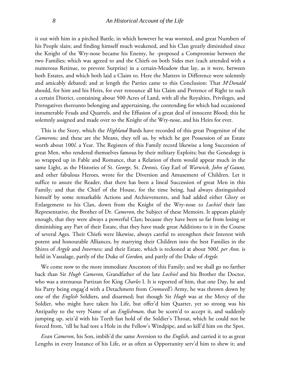it out with him in a pitched Battle, in which however he was worsted, and great Numbers of his People slain; and finding himself much weakened, and his Clan greatly diminished since the Knight of the Wry-nose became his Enemy, he -proposed a Compromise between the two Families; which was agreed to and the Chiefs on both Sides met (each attended with a numerous Retinue, to prevent Surprize) in a certain-Meadow that lay, as it were, between both Estates, and which both laid a Claim to. Here the Matters in Difference were solemnly and amicably debated; and at length the Parties came to this Conclusion: That *Mc Donald*  should, for him and his Heirs, for ever renounce all his Claim and Pretence of Right to such a certain District, containing about 500 Acres of Land, with all the Royalties, Privileges, and Prerogatives thereunto belonging and appertaining, the contending for which had occasioned innumerable Feuds and Quarrels, and the Effusion of a great deal of innocent Blood; this he solemnly assigned and made over to the Knight of the Wry-nose, and his Heirs for ever.

This is the Story, which the *Highland* Bards have recorded of this great Progenitor of the *Camerons;* and these are the Means, they tell us, by which he got Possession of an Estate worth about 100*l*. a Year. The Registers of this Family record likewise a long Succession of great Men, who rendered themselves famous by their military Exploits; but the Genealogy is so wrapped up in Fable and Romance, that a Relation of them would appear much in the same Light, as the Histories of St. *George,* St. *Dennis, Guy* Earl of *Warwick, John of Gaunt,*  and other fabulous Heroes, wrote for the Diversion and Amusement of Children. Let it suffice to assure the Reader, that there has been a lineal Succession of great Men in this Family*;* and that the Chief of the House, for the time being, had always distinguished himself by some remarkable Actions and Atchievements, and had added either Glory or Enlargement to his Clan, down from the Knight of the Wry-nose to *Lochiel* their late Representative, the Brother of Dr. *Cameron,* the Subject of these Memoirs. It appears plainly enough, that they were always a powerful Clan; because they have been so far from losing or diminishing any Part of their Estate, that they have made great Additions to it in the Course of several Ages. Their Chiefs were likewise, always careful to strengthen their Interest with potent and honourable Alliances, by marrying their Children into the best Families in the Shires of *Argyle* and *Inverness;* and their Estate, which is reckoned at about 500*l*. *per Ann.* is held in Vassalage, partly of the Duke of *Gordon,* and partly of the Duke of *Argyle.*

We come now to the more immediate Ancestors of this Family; and we shall go no farther back than Sir *Hugh Cameron,* Grandfather of the late *Lochiel* and his Brother the Doctor, who was a strenuous Partizan for King *Charles* I. It is reported of him, that one Day, he and his Party being engag'd with a Detachment from *Cromwell's* Army, he was thrown down by one of the *English* Soldiers, and disarmed; but though Sir *Hugh* was at the Mercy of the Soldier, who might have taken his Life, but offer'd him Quarter, yet so strong was his Antipathy to the very Name of an *Englishman,* that be scorn'd to accept it, and suddenly jumping up, seiz'd with his Teeth fast hold of the Soldier's Throat, which he could not be forced from, 'till he had tore a Hole in the Fellow's Windpipe, and so kill'd him on the Spot.

*Evan Cameron,* his Son, imbib'd the same Aversion to the *English,* and carried it to as great Lengths in every Instance of his Life, or as often as Opportunity serv'd him to shew it; and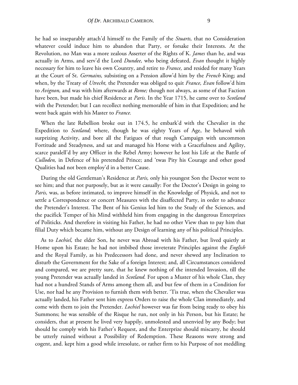he had so inseparably attach'd himself to the Family of the *Stuarts,* that no Consideration whatever could induce him to abandon that Party, or forsake their Interests. At the Revolution, no Man was a more zealous Asserter of the Rights of K. *James* than he, and was actually in Arms, and serv'd the Lord *Dundee,* who being defeated, *Evan* thought it highly necessary for him to leave his own Country, and retire to *France,* and resided for many Years at the Court of St. *Germains,* subsisting on a Pension allow'd him by the *French* King; and when, by the Treaty of *Utrecht,* the Pretender was obliged to quit *France, Evan* follow'd him to *Avignon,* and was with him afterwards at *Rome;* though not always, as some of that Faction have been, but made his chief Residence at *Paris.* In the Year 1715, he came over to *Scotland*  with the Pretender; but I can recollect nothing memorable of him in that Expedition; and he went back again with his Master to *France.*

When the late Rebellion broke out in 174.5, he embark'd with the Chevalier in the Expedition to *Scotland;* where, though he was eighty Years of Age, he behaved with surprizing Activity, and bore all the Fatigues of that rough Campaign with uncommon Fortitude and Steadyness, and sat and managed his Horse with a Gracefulness and Agility, scarce paralell'd by any Officer in the Rebel Army; however he lost his Life at the Battle of *Culloden,* in Defence of his pretended Prince; and 'twas Pity his Courage and other good Qualities had not been employ'd in a better Cause.

During the old Gentleman's Residence at *Paris,* only his youngest Son the Doctor went to see him; and that not purposely, but as it were casually: For the Doctor's Design in going to *Paris,* was, as before intimated, to improve himself in the Knowledge of Physick, and not to settle a Correspondence or concert Measures with the disaffected Party, in order to advance the Pretender's Interest. The Bent of his Genius led him to the Study of the Sciences, and the pacifick Temper of his Mind withheld him from engaging in the dangerous Enterprizes of Politicks. And therefore in visiting his Father, he had no other View than to pay him that filial Duty which became him, without any Design of learning any of his political Principles.

As to *Lochiel,* the elder Son, he never was Abroad with his Father, but lived quietly at Home upon his Estate; he had not imbibed those inveterate Principles against the *English* and the Royal Family, as his Predecessors had done, and never shewed any Inclination to disturb the Government for the Sake of a foreign Interest; and, all Circumstances considered and compared, we are pretty sure, that he knew nothing of the intended Invasion, till the young Pretender was actually landed in *Scotland.* For upon a Muster of his whole Clan, they had not a hundred Stands of Arms among them all, and but few of them in a Condition for Use, nor had he any Provision to furnish them with better. 'Tis true, when the Chevalier was actually landed, his Father sent him express Orders to raise the whole Clan immediately, and come with them to join the Pretender. *Lochiel* however was far from being ready to obey his Summons; he was sensible of the Risque he run, not only in his Person, but his Estate; he considers, that at present he lived very happily, unmolested and unenvied by any Body; but should he comply with his Father's Request, and the Enterprize should miscarry, he should be utterly ruined without a Possibility of Redemption. These Reasons were strong and cogent, and. kept him a good while irresolute, or rather firm to his Purpose of not meddling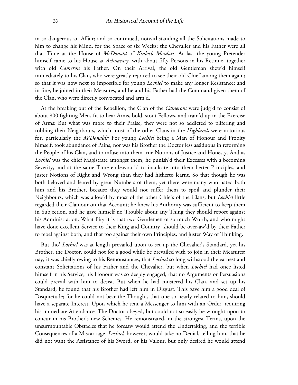in so dangerous an Affair; and so continued, notwithstanding all the Solicitations made to him to change his Mind, for the Space of six Weeks; the Chevalier and his Father were all that Time at the House of *McDonald* of *Kinlocb Moidart.* At last the young Pretender himself came to his House at *Achnacary,* with about fifty Persons in his Retinue, together with old *Cameron* his Father. On their Arrival, the old Gentleman shew'd himself immediately to his Clan, who were greatly rejoiced to see their old Chief among them again; so that it was now next to impossible for young *Lochiel* to make any longer Resistance; and in fine, he joined in their Measures, and he and his Father had the Command given them of the Clan, who were directly convocated and arm'd.

At the breaking out of the Rebellion, the Clan of the *Camerons* were judg'd to consist of about 800 fighting Men, fit to bear Arms, bold, stout Fellows, and train'd up in the Exercise of Arms: But what was more to their Praise, they were not so addicted to pilfering and robbing their Neighbours, which most of the other Clans in the *Highlands* were notorious for, particularly the *Mc Donalds:* For young *Lochiel* being a Man of Honour and Probity himself, took abundance of Pains, nor was his Brother the Doctor less assiduous in reforming the People of his Clan, and to infuse into them true Notions of Justice and Honesty. And as *Lochiel* was the chief Magistrate amongst them, he punish'd their Excesses with a becoming Severity, and at the same Time endeavour'd to inculcate into them better Principles, and juster Notions of Right and Wrong than they had hitherto learnt. So that though he was both beloved and feared by great Numbers of them, yet there were many who hated both him and his Brother, because they would not suffer them to spoil and plunder their Neighbours, which was allow'd by most of the other Chiefs of the Clans; but *Lochiel* little regarded their Clamour on that Account; he knew his Authority was sufficient to keep them in Subjection, and he gave himself no Trouble about any Thing they should report against his Administration. What Pity it is that two Gentlemen of so much Worth, and who might have done excellent Service to their King and Country, should be over-aw'd by their Father to rebel against both, and that too against their own Principles, and juster Way of Thinking.

But tho' *Lochiel* was at length prevailed upon to set up the Chevalier's Standard, yet his Brother, the Doctor, could not for a good while be prevailed with to join in their Measures; nay, it was chiefly owing to his Remonstances, that *Lochiel* so long withstood the earnest and constant Solicitations of his Father and the Chevalier, but when *Lochiel* had once listed himself in his Service, his Honour was so deeply engaged, that no Arguments or Persuasions could prevail with him to desist. But when he had mustered his Clan, and set up his Standard, he found that his Brother had left him in Disgust. This gave him a good deal of Disquietude; for he could not bear the Thought, that one so nearly related to him, should have a separate Interest. Upon which he sent a Messenger to him with an Order, requiring his immediate Attendance. The Doctor obeyed, but could not so easily be wrought upon to concur in his Brother's new Schemes. He remonstrated, in the strongest Terms, upon the unsurmountable Obstacles that he foresaw would attend the Undertaking, and the terrible Consequences of a Miscarriage. *Lochiel,* however, would take no Denial, telling him, that he did not want the Assistance of his Sword, or his Valour, but only desired he would attend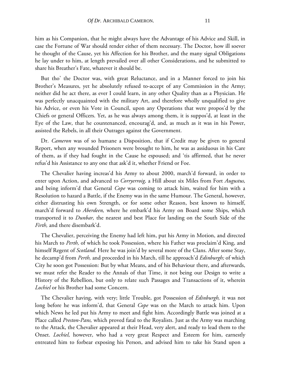him as his Companion, that he might always have the Advantage of his Advice and Skill, in case the Fortune of War should render either of them necessary. The Doctor, how ill soever he thought of the Cause, yet his Affection for his Brother, and the many signal Obligations he lay under to him, at length prevailed over all other Considerations, and he submitted to share his Breather's Fate, whatever it should be.

But tho' the Doctor was, with great Reluctance, and in a Manner forced to join his Brother's Measures, yet he absolutely refused to-accept of any Commission in the Army; neither did he act there, as ever I could learn, in any other Quality than as a Physician. He was perfectly unacquainted with the military Art, and therefore wholly unqualified to give his Advice, or even his Vote in Council, upon any Operations that were propos'd by the Chiefs or general Officers. Yet, as he was always among them, it is suppos'd, at least in the Eye of the Law, that he countenanced, encourag'd, and, as much as it was in his Power, assisted the Rebels, in all their Outrages against the Government.

Dr. *Cameron* was of so humane a Disposition, that if Credit may be given to general Report, when any wounded Prisoners were brought to him, he was as assiduous in his Care of them, as if they had fought in the Cause he espoused; and 'tis affirmed, that he never refus'd his Assistance to any one that ask'd it, whether Friend or Foe.

The Chevalier having increas'd his Army to about 2000, march'd forward, in order to enter upon Action, and advanced to *Corryerroig,* a Hill about six Miles from Fort *Augustus,*  and being inform'd that General *Cope* was coming to attack him, waited for him with a Resolution to hazard a Battle, if the Enemy was in the same Humour. The General, however, either distrusting his own Strength, or for some other Reason, best known to himself, march'd forward to *Aberdeen,* where he embark'd his Army on Board some Ships, which transported it to *Dunbar,* the nearest and best Place for landing on the South Side of the *Firth,* and there disembark'd.

The Chevalier, perceiving the Enemy had left him, put his Army in Motion, and directed his March to *Perth,* of which he took Possession, where his Father was proclaim'd King, and himself Regent of *Scotland.* Here he was join'd by several more of the Clans. After some Stay, he decamp'd from *Perth,* and proceeded in his March, till he approach'd *Edinburgh;* of which City he soon got Possession: But by what Means, and of his Behaviour there, and afterwards, we must refer the Reader to the Annals of that Time, it not being our Design to write a History of the Rebellion, but only to relate such Passages and Transactions of it, wherein *Lochiel* or his Brother had some Concern.

The Chevalier having, with very; little Trouble, got Possession of *Edinburgh,* it was not long before he was inform'd, that General *Cope* was on the March to attack him. Upon which News he led put his Army to meet and fight him. Accordingly Battle was joined at a Place called *Preston-Pans,* which proved fatal to the Royalists. Just as the Army was marching to the Attack, the Chevalier appeared at their Head, very alert, and ready to lead them to the Onset. *Lochiel,* however, who had a very great Respect and Esteem for him, earnestly entreated him to forbear exposing his Person, and advised him to take his Stand upon a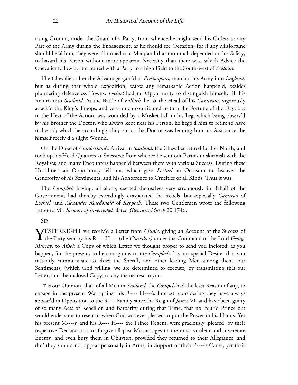rising Ground, under the Guard of a Party, from whence he might send his Orders to any Part of the Army during the Engagement, as he should see Occasion; for if any Misfortune should befal him, they were all ruined to a Man; and that too much depended on his Safety, to hazard his Person without more apparent Necessity than there was; which Advice the Chevalier follow'd, and retired with a Party to a high Field to the South-west of *Seatoun.*

The Chevalier, after the Advantage gain'd at *Prestonpans,* march'd his Army into *England;*  but as during that whole Expedition, scarce any remarkable Action happen'd, besides plundering defenceless Towns, *Lochiel* had no Opportunity to distinguish himself, till his Return into *Scotland.* At the Battle of *Falkirk,* he, at the Head of his *Camerons,* vigorously attack'd the King's Troops, and very much contributed to turn the Fortune of the Day; but in the Heat of the Action, was wounded by a Musket-ball in his Leg; which being observ'd by his Brother the Doctor, who always kept near his Person, he begg'd him to retire to have it dress'd; which he accordingly did; but as the Doctor was lending him his Assistance, he himself receiv'd a slight Wound.

On the Duke of *Cumberland's* Arrival in *Scotland,* the Chevalier retired further North, and took up his Head Quarters at *Inverness;* from whence he sent out Parties to skirmish with the Royalists; and many Encounters happen'd between them with various Success. During these Hostilities, an Opportunity fell out, which gave *Lochiel* an Occasion to discover the Generosity of his Sentiments, and his Abhorrence to Cruelties of all Kinds. Thus it was.

The *Campbels* having, all along, exerted themselves very strenuously in Behalf of the Government, had thereby exceedingly exasperated the Rebels, but especially *Cameron* of *Lochiel,* and *Alexander Macdonald* of *Keppoch.* These two Gentlemen wrote the following Letter to Mr. *Stewart of Invernakel,* dated *Glenturs, March* 20.1746.

SIR,

ESTERNIGHT we receiv'd a Letter from *Clunie,* giving an Account of the Success of **TESTERNIGHT** we receiv'd a Letter from *Clunie*, giving an Account of the Success of the Party sent by his R---- H---- (the *Chevalier*) under the Command of the Lord *George Murray,* to *Athol;* a Copy of which Letter we thought proper to send you inclosed; as you happen, for the present, to lie contiguous to the *Campbels,* 'tis our special Desire, that you instantly communicate to *Airds* the Sheriff, and other leading Men among them, our Sentiments, (which God willing, we are determined to execute) by transmitting this our Letter, and the inclosed Copy, to any the nearest to you.

IT is our Opinion, that, of all Men in *Scotland,* the *Compels* had the least Reason of any, to engage in the present War against his R---- H----'s Interest, considering they have always appear'd in Opposition to the R---- Family since the Reign of *James* VI, and have been guilty of so many Acts of Rebellion and Barbarity during that Time, that no injur'd Prince but would endeavour to resent it when God was ever pleased to put the Power in his Hands. Yet his present M----*y,* and his R---- H---- the Prince Regent, were graciously .pleased, by their respective Declarations, to forgive all past Miscarriages to the most virulent and inveterate Enemy, and even bury them in Oblivion, provided they returned to their Allegiance; and tho' they should not appear personally in Arms, in Support of their P----'s Cause, yet their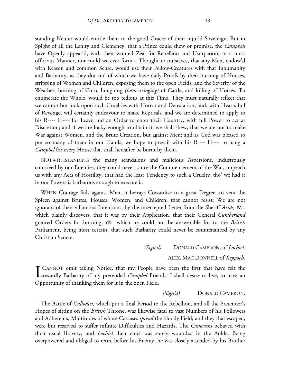standing Neuter would entitle them to the good Graces of their injur'd Sovereign. But in Spight of all the Lenity and Clemency, that a Prince could shew or promise, the *Campbels* have Openly appear'd, with their wonted Zeal for Rebellion and Usurpation, in a most officious Manner, nor could we ever form a Thought to ourselves, that any Men, endow'd with Reason and common Sense, would use their Fellow-Creatures with that Inhumanity and Barbarity, as they do; and of which we have daily Proofs by their burning of Houses, stripping of Women and Children, exposing them to the open Fields, and the Severity of the Weather, burning of Corn, houghing *(ham-stringing)* of Cattle, and killing of Horses. To enumerate the Whole, would be too tedious at this Time. They must naturally refleet that we cannot but look upon such Cruelties with Horror and Detestation, and, with Hearts full of Revenge, will certainly endeavour to make Reprisals; and we are determined to apply to his R---- H---- for Leave and an Order to enter their Country, with full Power to act at Discretion; and if we are lucky enough to obtain it, we shall shew, that we are not to make War against Women, and the Brute Creation, but against Men; and as God was pleased to put so many of them in our Hands, we hope to prevail with his R---- H---- to hang a *Campbel* for every House that shall hereafter be burnt by them.

NOTWITHSTANDING the many scandalous and malicious Aspersions, industrously contrived by our Enemies, they could never, since the Commencement of the War, impeach us with any Acts of Hostility, that had the least Tendency to such a Cruelty, tho' we had it in our Powers is barbarous enough to execute it.

WHEN Courage fails against Men, it betrays Cowardise to a great Degree, to vent the Spleen against Brutes, Houses, Women, and Children, that cannot resist: We are not ignorant of their villainous Intentions, by the intercepted Letter from the Sheriff *Airds,* &c. which plainly discovers, that it was by their Application, that their General *Cumberland*  granted Orders for burning, *&c*. which he could not be answerable for to the *British*  Parliament, being most certain, that such Barbarity could never be countenanced by any Christian Senete,

> *(Sign'd)* DONALD CAMERON, of *Lochiel.* ALEX. MAC DONNELL of *Keppoch.*

**T** CANNOT omit taking Notice, that my People have been the first that have felt the **CANNOT** omit taking Notice, that my People have been the first that have felt the cowardly Barbarity of my pretended *Campbel* Friends; I shall desire to live, to have an Opportunity of thanking them for it in the open Field.

#### *[Sign'd)* DONALD CAMERON.

The Battle of *Culloden,* which put a final Period to the Rebellion, and all the Pretender's Hopes of sitting on the *British* Throne, was likewise fatal to vast Numbers of his Followers and Adherents; Multitudes of whose Carcases *spread* the bloody Field; and they that escaped, were but reserved to suffer infinite Difficulties and Hazards, The *Camerons* behaved with their usual Bravery, and *Lochiel* their chief was sorely wounded in the Ankle. Being overpowered and obliged to retire before his Enemy, he was closely attended by his Brother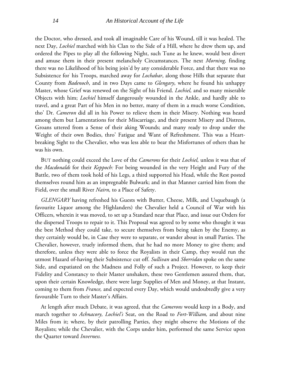the Doctor, who dressed, and took all imaginable Care of his Wound, till it was healed. The next Day, *Lochiel* marched with his Clan to the Side of a Hill, where he drew them up, and ordered the Pipes to play all the following Night, such Tune as he knew, would best divert and amuse them in their present melancholy Circumstances. The next *Morning,* finding there was no Likelihood of his being join'd by any considerable Force, and that there was no Subsistence for' his Troops, marched away for *Lochabar*, along those Hills that separate that County from *Badenoch*, and in two Days came to *Glengary*, where he found his unhappy Master, whose Grief was renewed on the Sight of his Friend. *Lochiel,* and so many miserable Objects with him; *Lochiel* himself dangerously wounded in the Ankle, and hardly able to travel, and a great Part of his Men in no better, many of them in a much worse Condition, tho' Dr. *Cameron* did all in his Power to relieve them in their Misery. Nothing was heard among them but Lamentations for their Miscarriage, and their present Misery and Distress, Groans uttered from a Sense of their aking Wounds; and many ready to drop under the Weight of their own Bodies, thro' Fatigue and Want of Refreshment. This was a Heartbreaking Sight to the Chevalier, who was less able to bear the Misfortunes of others than he was his own.

BUT nothing could exceed the Love of the *Camerons* for their *Lochiel,* unless it was that of the *Macdonalds* for their *Keppoch:* For being wounded in the very Height and Fury of the Battle, two of them took hold of his Legs, a third supported his Head, while the Rest posted themselves round him as an impregnable Bulwark; and in that Manner carried him from the Field, over the small River *Nairn,* to a Place of Safety.

*GLENGARY* having refreshed his Guests with Butter, Cheese, Milk, and Usquebaugh (a favourite Liquor among the Highlanders) the Chevalier held a Council of War with his Officers, wherein it was moved, to set up a Standard near that Place, and issue out Orders for the dispersed Troops to repair to it. This Proposal was agreed to by some who thought it was the best Method they could take, to secure themselves from being taken by the Enemy, as they certainly would be, in Case they were to separate, or wander about in small Parties. The Chevalier, however, truely informed them, that he had no more Money to give them; and therefore, unless they were able to force the Royalists in their Camp, they would run the utmost Hazard of-having their Subsistence cut off. *Sullivan* and *Sberridan* spoke on the same Side, and expatiated on the Madness and Folly of such a Project. However, to keep their Fidelity and Constancy to their Master unshaken, these two Gentlemen assured them, that, upon their certain Knowledge, there were large Supplies of Men and Money, at that Instant, coming to them from *France,* and expected every Day, which would undoubtedly give a very favourable Turn to their Master's Affairs.

At length after much Debate, it was agreed, that the *Camerons* would keep in a Body, and march together to *Achnacory, Lochiel's* Seat, on the Road to *Fort-William,* and about nine Miles from it; where, by their patrolling Parties, they might observe the Motions of the Royalists; while the Chevalier, with the Corps under him, performed the same Service upon the Quarter toward *Inverness.*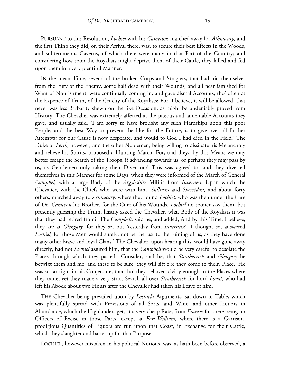PURSUANT to this Resolution, *Lochiel* with his *Camerons* marched away for *Athnacary;* and the first Thing they did, on their Arrival there, was, to secure their best Effects in the Woods, and subterraneous Caverns, of which there were many in that Part of the Country; and considering how soon the Royalists might deprive them of their Cattle, they killed and fed upon them in a very plentiful Manner.

IN the mean Time, several of the broken Corps and Straglers, that had hid themselves from the Fury of the Enemy, some half dead with their Wounds, and all near famished for Want of Nourishment, were continually coming in, and gave dismal Accounts, tho' often at the Expence of Truth, of the Cruelty of the Royalists: For, I believe, it will be allowed, that never was less Barbarity shewn on the like Occasion, as might be undeniably proved from History. The Chevalier was extremely affected at the piteous and lamentable Accounts they gave, and usually said, 'I am sorry to have brought any such Hardships upon this poor People; and the best Way to prevent the like for the Future, is to give over all further Attempts; for our Cause is now desperate, and would to God I had died in the Field!' The Duke of *Perth,* however, and the other Noblemen, being willing to dissipate his Melancholy and relieve his Spirits, proposed a Hunting Match: For, said they, 'by this Means we may better escape the Search of the Troops, if advancing towards us, or perhaps they may pass by us, as Gentlemen only taking their Diversion:' This was agreed to, and they diverted themselves in this Manner for some Days, when they were informed of the March of General *Campbel,* with a large Body of the *Argyleshire* Militia from *Inverness.* Upon which the Chevalier, with the Chiefs who were with him, *Sullivan* and *Sherridan,* and about forty others, marched away to *Achnacary,* where they found *Lochiel,* who was then under the Care of Dr. *Cameron* his Brother, for the Cure of his Wounds. *Lochiel* no sooner saw them, but presently guessing the Truth, hastily asked the Chevalier, what Body of the Royalists it was that they had retired from? 'The *Campbels,* said he, and added, And by this Time, I believe, they are at *Glengary,* for they set out Yesterday from *Inverness?'* 'I thought so, answered *Lochiel;* for those Men would surely, not be the last to the ruining of us, as they have done many other brave and loyal Clans.' The Chevalier, upon hearing this, would have gone away directly, had not *Lochiel* assured him, that the *Campbels* would be very careful to desolate the Places through which they pasted. 'Consider, said he, that *Stratherrick* and *Glengary* lie betwixt them and me, and these to be sure, they will sift e're they come to their, Place.' He was so far right in his Conjecture, that tho' they behaved civilly enough in the Places where they came, yet they made a very strict Search all over *Stratherrick* for Lord *Lovat,* who had left his Abode about two Hours after the Chevalier had taken his Leave of him.

THE Chevalier being prevailed upon by *Lochiel's* Arguments, sat down to Table, which was plentifully spread with Provisions of all Sorts, and Wine, and other Liquors in Abundance, which the Highlanders get, at a very cheap Rate, from *France;* for there being no Officers of Excise in those Parts, except at *Fort-William,* where there is a Garrison, prodigious Quantities of Liquors are run upon that Coast, in Exchange for their Cattle, which they slaughter and barrel up for that Purpose:

LOCHIEL, however mistaken in his political Notions, was, as hath been before observed, a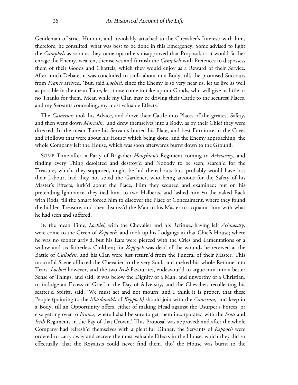Gentleman of strict Honour, and inviolably attached to the Chevalier's Interest; with him, therefore, he consulted, what was best to be done in this Emergency. Some advised to fight the *Campbels* as soon as they came up; others disapproved that Proposal, as it would farther enrage the Enemy, weaken, themselves and furnish the *Campbels* with Pretences to dispossess them of their Goods and Chattels, which they would enjoy as a Reward of their Service. After much Debate, it was concluded to sculk about in a Body, till, the promised Succours from *France* arrived. 'But, said *Lochiel,* since the Enemy is so very near us, let us live as well as possible in the mean Time, lest those come to take up our Goods, who will give us little or no Thanks for them. Mean while my Clan may be driving their Cattle to the securest Places, and my Servants concealing, my most valuable Effects.'

The *Camerons* took his Advice, and drove their Cattle into Places of the greatest Safety, and then went down *Morvain,* and drew themselves into a Body, as by their Chief they were directed. In the mean Time his Servants buried his Plate, and best Furniture in the Caves and Hollows that were about his House; which being done, and the Enemy approaching, the whole Company left the House, which was soon afterwards burnt down to the Ground.

SOME Time after, a Party of Brigadier *Houghton's* Regiment coming to *Acknacary,* and finding every Thing desolated and destroy'd and Nobody to be seen, search'd for the Treasure, which, they supposed, might be hid thereabouts but, probably would have lost their Labour, had they not spied the Gardener, who being anxious for the Safety of his Master's Effects, lurk'd about the Place, Him they secured and examined; but on his pretending Ignorance, they tied him. to two Halberts, and lashed him •n the naked Back with Rods, till the Smart forced him to discover the Place of Concealment, where they found the hidden Treasure, and then dismiss'd the Man to his Master to acquaint -him with what he had seen and suffered.

IN the mean Time, *Lochiel,* with the Chevalier and his Retinue, having left *Achnacary,*  were come to the Green of *Keppoch,* and took up his Lodgings in that Chiefs House; where he was no sooner arriv'd, but his Ears were pierced with the Cries and Lamentations of a widow and six fatherless Children; for *Keppqcb* was dead of the wounds he received at the Battle of *Culloden,* and his Clan were just return'd from the Funeral of their Master. This mournful Scene afflicted the Chevalier to the very Soul, and melted his whole Retinue into Tears. *Lochiel* however, and the two *Irish* Favourites, endeavour'd to argue him into a better Sense of Things, and said, it was below the Dignity of a Man, and unworthy of a Christian, to indulge an Excess of Grief in the Day of Adversity, and the Chevalier, recollecting his scatter'd Spirits, said, 'We must act and not mourn; and I think it is proper, that these People (pointing to the *Macdonalds* of *Keppoch)* should join with the *Camcrons,* and keep in a Body, till an Opportunity offers, either of making Head against the Usurper's Forces, or else getting over to *France,* where I shall be sure to get them incorporated with the *Scots* and *Irish* Regiments in the Pay of that Crown.' This Proposal was approved; and after the whole Company had refresh'd themselves with a plentiful Dinner, the Servants of *Keppoch* were ordered to carry away and secrete the most valuable Effects in the House, which they did so effectually, that the Royalists could never find them, tho' the House was burnt to the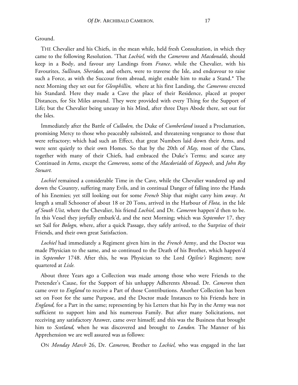Ground.

THE Chevalier and his Chiefs, in the mean while, held fresh Consultation, in which they came to the following Resolution. 'That *Lochiel,* with the *Camerons* and *Macdonalds,* should keep in a Body, and favour any Landings from *France*, while the Chevalier, with his Favourites, *Sullivan, Sheridan,* and others, were to traverse the Isle, and endeavour to raise such a Force, as with the Succour from abroad, might enable him to make a Stand.\* The next Morning they set out for *Glenphillin,* where at his first Landing, the *Camerons* erected his Standard. Here they made a Cave the place of their Residence, placed at proper Distances, for Six Miles around. They were provided with every Thing for the Support of Life; but the Chevalier being uneasy in his Mind, after three Days Abode there, set out for the Isles.

Immediately after the Battle of *Culloden,* the Duke of *Cumberland* issued a Proclamation, promising Mercy to those who peaceably subsisted, and threatening vengeance to those that were refractory; which had such an Effect, that great Numbers laid down their Arms, and were sent quietly to their own Homes. So that by the 20th of *May,* most of the Clans, together with many of their Chiefs, had embraced the Duke's Terms; and scarce any Continued in Arms, except the *Camerons,* some of the *Macdorialds* of *Keppoch,* and *John Roy Steuart.*

*Lochiel* remained a considerable Time in the Cave, while the Chevalier wandered up and down the Country, suffering many Evils, and in continual Danger of falling into the Hands of his Enemies; yet still looking out for some *French* Ship that might carry him away. At length a small Schooner of about 18 or 20 Tons, arrived in the Harbour of *Flota,* in the Isle *of South Uist,* where the Chevalier, his friend *Lochiel,* and Dr. *Cameron* happen'd then to be. In this Vessel they joyfully embark'd, and the next Morning; which was *September* 17, they set Sail for *Bologn,* where, after a quick Passage, they safely arrived, to the Surprize of their Friends, and their own great Satisfaction.

*Lochiel* had immediately a Regiment given him in the *French* Army, and the Doctor was made Physician to the same, and so continued to the Death of his Brother, which happen'd in *September* 1748. After this, he was Physician to the Lord *Ogilvie's* Regiment; now quartered at *Lisle.*

About three Years ago a Collection was made among those who were Friends to the Pretender's Cause, for the Support of his unhappy Adherents Abroad. Dr. *Cameron* then came over to *England* to receive a Part of those Contributions. Another Collection has been set on Foot for the same Purpose, and the Doctor made Instances to his Friends here in *England,* for a Part in the same; representing by his Letters that his Pay in the Army was not sufficient to support him and his numerous Family. But after many Solicitations, not receiving any satisfactory Answer, came over himself; and this was the Business that brought him to *Scotland,* when he was discovered and brought to *London.* The Manner of his Apprehension we are well assured was as follows:

ON *Monday March* 26, Dr. *Cameron,* Brother to *Lochiel,* who was engaged in the last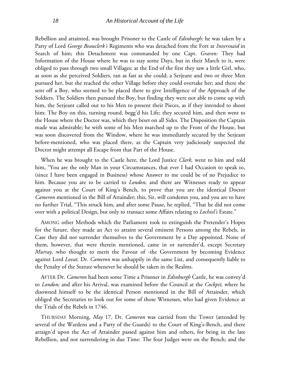Rebellion and attainted, was brought Prisoner to the Castle of *Edinburgh;* he was taken by a Party of Lord *George Beauclerk's* Regiments who was detached from the Fort at *Inversnaid* in Search of him; this Detachment was commanded by one Capt. *Graven:* They had Information of the House where he was to stay some Days, but in their March to it, were obliged to pass through two small Villages; at the End of the first they saw a little Girl, who, as soon as she perceived Soldiers, ran as fast as she could; a Serjeant and two or three Men pursued her, but she reached the other Village before they could overtake her; and there she sent off a Boy, who seemed to be placed there to give Intelligence of the Approach of the Soldiers. The Soldiers then pursued the Boy, but finding they were not able to come up with him, the Serjeant called out to his Men to present their Pieces, as if they intended to shoot him: The Boy on this, turning round, begg'd his Life; they secured him, and then went to the House where the Doctor was, which they beset on all Sides. The Disposition the Captain made was admirable; he with some of his Men marched up to the Front of the House, but was soon discovered from the Window, where he was immediately secured by the Serjeant before-mentioned, who was placed there, as the Captain very judiciously suspected the Doctor might attempt all Escape from that Part of the House.

When he was brought to the Castle here, the Lord Justice *Clark,* went to him and told him, "You are the only Man in your Circumstances, that ever I had Occasion to speak to, (since I have been engaged in Business) whose Answer to me could be of no Prejudice to him. Because you are to be carried to *London,* and there are Witnesses ready to appear against you at the Court of King's Bench, to prove that you are the identical Doctor *Cameron* mentioned in the Bill of Attainder; this, Sir, will condemn you, and you are to have no further Trial, "This struck him, and after some Pause, he replied, "That he did not come over with a political Design, but only to transact some Affairs relating to *Lochiel's* Estate."

AMONG other Methods which the Parliament took to extinguish the Pretender's Hopes for the future, they made an Act to attaint several eminent Persons among the Rebels, in Case they did not surrender themselves to the Government by a Day appointed. None of them, however, that were therein mentioned, came in or surrender'd, except Secretary *Murray,* who thought to merit the Favour of -the Government by becoming Evidence against Lord *Lovat.* Dr. *Cameron* was unhappily in the same List, and consequently liable to the Penalty of the Statute whenever he should be taken in the Realms.

AFTER Dr. *Cameron* had been some Time a Prisoner in *Edinburgh* Castle, he was convey'd to *London;* and after his Arrival, was examined before the Council at the *Cockpit,* where he disowned himself to be the identical Person mentioned in the Bill of Attainder, which obliged the Secretaries to look out for some of those Witnesses, who had given Evidence at the Trials of the Rebels in 1746.

THURSDAY Morning, *May* 17, Dr. *Cameron* was carried from the Tower (attended by several of the Wardens and a Party of the Guards) to the Court of King's-Bench, and there arraign'd upon the Act of Attainder passed against him and others, for being in the late Rebellion, and not surrendering in due Time: The four Judges were on the Bench; and the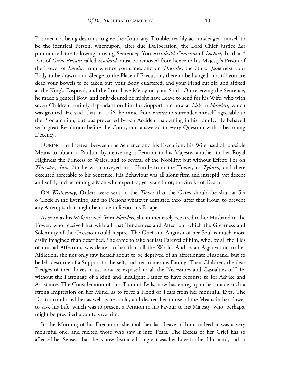Prisoner not being desirous to give the Court any Trouble, readily acknowledged himself to be the identical Person; whereupon, after due Deliberation, the Lord Chief Justice *Lee* pronounced the following moving Sentence; 'You *Archibald Cameron* of *Lochiel,* In that \* Part of *Great Britain* called *Scotland,* must be removed from hence to his Majesty's Prison of the Tower of *Lmdin,* from whence you came, and on *Thursday* the 7th of *June* next your Body to be drawn on a Sledge to the Place of Execution, there to be hanged, not till you are dead your Bowels to be taken out, your Body quartered, and your Head cut off, and affixed at the King's Disposal, and the Lord have Mercy on your Soul.' On receiving the Sentence, he made a genteel Bow, and only desired he might have Leave to send for his Wife, who with seven Children, entirely dependant on him for Support, are now at *Lisle* in *Flanders,* which was granted. He said, that in 1746, he came from *France* to surrender himself, agreeable to the Proclamation, but was prevented by -an Accident happening in his Family. He behaved with great Resolution before the Court, and answered to every Question with a becoming Decency.

DURING the Interval between the Sentence and his Execution, his Wife used all possible Means to obtain a Pardon, by delivering a Petition to his Majesty, another to her Royal Highness the Princess of Wales, and to several of the Nobility; but without Effect: For on *Thursday, June* 7th he was conveyed in a Hurdle from the Tower, to *Tyburn,* and there executed agreeable to his Sentence. His Behaviour was all along firm and intrepid, yet decent and solid, and becoming a Man who expected, yet seared not, the Stroke of Death.

ON *Wednesday,* Orders were sent to the *Tower* that the Gates should be shut at Six o'Clock in the Evening, and no Persons whatever admitted thro' after that Hour, to prevent any Attempts that might be made to favour his Escape.

As soon as his Wife arrived from *Flanders,* she immediately repaired to her Husband in the Tower, who received her with all that Tenderness and Affection, which the Greatness and Solemnity of the Occasion could inspire. The Grief and Anguish of her Soul is much more easily imagined than described. She came to take her last Farewel of him, who, by all the Ties of mutual Affection, was dearer to her than all the World. And as an Aggravation to her Affliction, she not only saw herself about to be deprived of an affectionate Husband, but to be left destitute of a Support for herself, and her numerous Family. Their Children, the dear Pledges of their Loves, must now be exposed to all the Necessities and Casualties of Life, without the Patronage of a kind and indulgent Father to have recourse to for Advice and Assistance. The Consideration of this Train of Evils, now hastening upon her, made such a strong Impression on her Mind, as to force a Flood of Tears from her mournful Eyes. The Doctor comforted her as well as he could, and desired her to use all the Means in her Power to save his Life, which was to present a Petition in his Favour to his Majesty, who, perhaps, might be prevailed upon to save him.

In the Morning of his Execution, she took her last Leave of him, indeed it was a very mournful one, and melted those who saw it into Tears. The Excess of her Grief has so affected her Senses, that she is now distracted; so great was her Love for her Husband, and so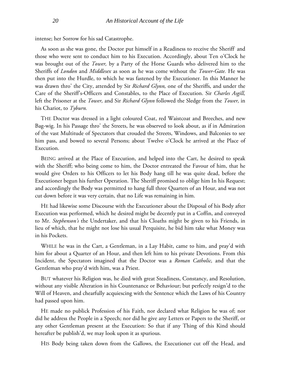intense; her Sorrow for his sad Catastrophe.

As soon as she was gone, the Doctor put himself in a Readiness to receive the Sheriff- and those who were sent to conduct him to his Execution. Accordingly, about Ten o'Clock he was brought out of the *Tower,* by a Party of the Horse Guards who delivered him to the Sheriffs of *London* and *Middlesex* as soon as he was come without the *Tower-Gate.* He was then put into the Hurdle, to which he was fastened by the Executioner. In this Manner he was drawn thro' the City, attended by Sir *Richard Glynn,* one of the Sheriffs, and under the Care of the Sheriff's-Officers and Constables, to the Place of Execution. Sir *Charles Asgill,*  left the Prisoner at the *Tower,* and Sir *Richard Glynn* followed the Sledge from the *Tower,* in his Chariot, to *Tyburn.*

THE Doctor was dressed in a light coloured Coat, red Waistcoat and Breeches, and new Bag-wig. In his Passage thro' the Streets, he was observed to look about, as if in Admiration of the vast Multitude of Spectators that crouded the Streets, Windows, and Balconies to see him pass, and bowed to several Persons; about Twelve o'Clock he arrived at the Place of Execution.

BEING arrived at the Place of Execution, and helped into the Cart, he desired to speak with the Sheriff; who being come to him, the Doctor entreated the Favour of him, that he would give Orders to his Officers to let his Body hang till he was quite dead, before the Executioner begun his further Operation. The Sheriff promised to oblige him In his Request; and accordingly the Body was permitted to hang full three Quarters of an Hour, and was not cut down before it was very certain, that no Life was remaining in him.

HE had likewise some Discourse with the Executioner about the Disposal of his Body after Execution was performed, which he desired might be decently put in a Coffin, and conveyed to Mr. *Stephenson's* the Undertaker, and that his Cloaths might be given to his Friends, in lieu of which, that he might not lose his usual Perquisite, he bid him take what Money was in his Pockets.

WHILE he was in the Cart, a Gentleman, in a Lay Habit, came to him, and pray'd with him for about a Quarter of an Hour, and then left him to his private Devotions. From this Incident, the Spectators imagined that the Doctor was a *Roman Catholic,* and that the Gentleman who pray'd with him, was a Priest.

BUT whatever his Religion was, he died with great Steadiness, Constancy, and Resolution, without any visible Alteration in his Countenance or Behaviour; but perfectly resign'd to the Will of Heaven, and chearfully acquiescing with the Sentence which the Laws of his Country had passed upon him.

HE made no publick Profession of his Faith, nor declared what Religion he was of; nor did he address the People in a Speech; nor did he give any Letters or Papers to the Sheriff, or any other Gentleman present at the Execution: So that if any Thing of this Kind should hereafter be publish'd, we may look upon it as spurious.

HIS Body being taken down from the Gallows, the Executioner cut off the Head, and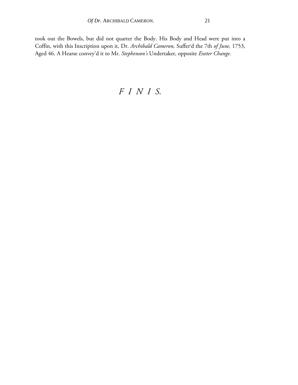took out the Bowels, but did not quarter the Body. His Body and Head were put into a Coffin, with this Inscription upon it, Dr. *Archibald Cameron,* Sufferr d the 7th *of June,* 1753, Aged 46. A Hearse convey'd it to Mr. *Stephenson's* Undertaker, opposite *Exeter Change.*

#### *FINI S.*